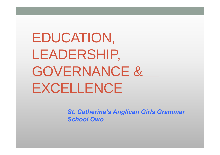## EDUCATION, LEADERSHIP, GOVERNANCE & EXCELLENCE

*St. Catherine's Anglican Girls Grammar School Owo*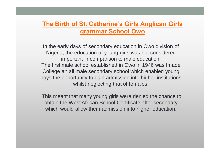#### **The Birth of St. Catherine's Girls Anglican Girls grammar School Owo**

In the early days of secondary education in Owo division of Nigeria, the education of young girls was not considered important in comparison to male education. The first male school established in Owo in 1946 was Imade College an all male secondary school which enabled young boys the opportunity to gain admission into higher institutions whilst neglecting that of females.

This meant that many young girls were denied the chance to obtain the West African School Certificate after secondary which would allow them admission into higher education.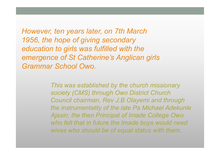*However, ten years later, on 7th March 1956, the hope of giving secondary education to girls was fulfilled with the emergence of St Catherine's Anglican girls Grammar School Owo.* 

> *This was established by the church missionary society (CMS) through Owo District Church Council chairman, Rev J.B Olayemi and through the instrumentality of the late Pa Michael Adekunle Ajasin; the then Principal of Imade College Owo who felt that in future the Imade boys would need wives who should be of equal status with them.*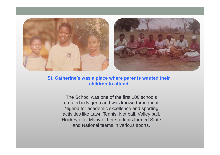

#### **St. Catherine's was a place where parents wanted their children to attend**

The School was one of the first 100 schools created in Nigeria and was known throughout Nigeria for academic excellence and sporting activities like Lawn Tennis, Net ball, Volley ball, Hockey etc. Many of her students formed State and National teams in various sports.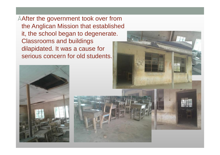• After the government took over from the Anglican Mission that established it, the school began to degenerate. Classrooms and buildings dilapidated. It was a cause for serious concern for old students.



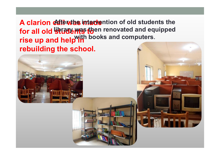A clarion call was intervention of old students the **for all old students to**  rise up and help<sup>will</sup> **rebuilding the school. Ligrary was then renovated and equipped with books and computers.** 



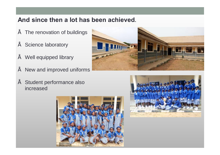#### **And since then a lot has been achieved.**

- The renovation of buildings
- Science laboratory
- Well equipped library
- $"$  New and improved uniforms
- Student performance also increased





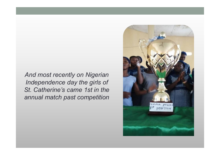*And most recently on Nigerian Independence day the girls of St. Catherine's came 1st in the annual match past competition* 

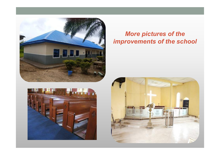



#### *More pictures of the improvements of the school*

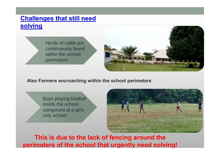#### **Challenges that still need solving**

Herds of cattle are continuously found within the school perimeters



**Also Farmers encroaching within the school perimeters** 

Boys playing football inside the school compound at a girls only school



**This is due to the lack of fencing around the perimeters of the school that urgently need solving!**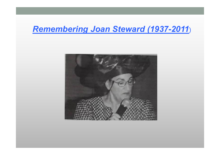### *Remembering Joan Steward (1937-2011*)